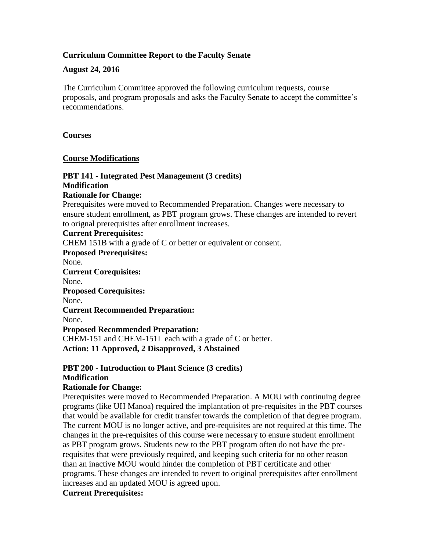## **Curriculum Committee Report to the Faculty Senate**

### **August 24, 2016**

The Curriculum Committee approved the following curriculum requests, course proposals, and program proposals and asks the Faculty Senate to accept the committee's recommendations.

#### **Courses**

### **Course Modifications**

# **PBT 141 - Integrated Pest Management (3 credits) Modification**

### **Rationale for Change:**

Prerequisites were moved to Recommended Preparation. Changes were necessary to ensure student enrollment, as PBT program grows. These changes are intended to revert to orignal prerequisites after enrollment increases.

### **Current Prerequisites:**

CHEM 151B with a grade of C or better or equivalent or consent.

**Proposed Prerequisites:**

None.

**Current Corequisites:**

None.

**Proposed Corequisites:**

None.

**Current Recommended Preparation:**

None.

#### **Proposed Recommended Preparation:**

CHEM-151 and CHEM-151L each with a grade of C or better. **Action: 11 Approved, 2 Disapproved, 3 Abstained**

## **PBT 200 - Introduction to Plant Science (3 credits) Modification**

### **Rationale for Change:**

Prerequisites were moved to Recommended Preparation. A MOU with continuing degree programs (like UH Manoa) required the implantation of pre-requisites in the PBT courses that would be available for credit transfer towards the completion of that degree program. The current MOU is no longer active, and pre-requisites are not required at this time. The changes in the pre-requisites of this course were necessary to ensure student enrollment as PBT program grows. Students new to the PBT program often do not have the prerequisites that were previously required, and keeping such criteria for no other reason than an inactive MOU would hinder the completion of PBT certificate and other programs. These changes are intended to revert to original prerequisites after enrollment increases and an updated MOU is agreed upon.

### **Current Prerequisites:**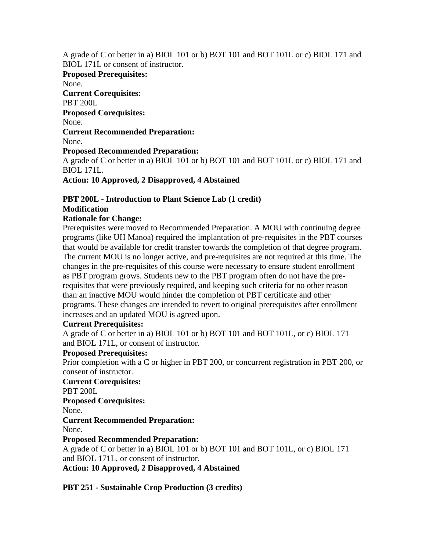A grade of C or better in a) BIOL 101 or b) BOT 101 and BOT 101L or c) BIOL 171 and BIOL 171L or consent of instructor.

**Proposed Prerequisites:** None. **Current Corequisites:** PBT 200L **Proposed Corequisites:** None. **Current Recommended Preparation:** None. **Proposed Recommended Preparation:** A grade of C or better in a) BIOL 101 or b) BOT 101 and BOT 101L or c) BIOL 171 and BIOL 171L.

**Action: 10 Approved, 2 Disapproved, 4 Abstained**

# **PBT 200L - Introduction to Plant Science Lab (1 credit) Modification**

# **Rationale for Change:**

Prerequisites were moved to Recommended Preparation. A MOU with continuing degree programs (like UH Manoa) required the implantation of pre-requisites in the PBT courses that would be available for credit transfer towards the completion of that degree program. The current MOU is no longer active, and pre-requisites are not required at this time. The changes in the pre-requisites of this course were necessary to ensure student enrollment as PBT program grows. Students new to the PBT program often do not have the prerequisites that were previously required, and keeping such criteria for no other reason than an inactive MOU would hinder the completion of PBT certificate and other programs. These changes are intended to revert to original prerequisites after enrollment increases and an updated MOU is agreed upon.

### **Current Prerequisites:**

A grade of C or better in a) BIOL 101 or b) BOT 101 and BOT 101L, or c) BIOL 171 and BIOL 171L, or consent of instructor.

# **Proposed Prerequisites:**

Prior completion with a C or higher in PBT 200, or concurrent registration in PBT 200, or consent of instructor.

### **Current Corequisites:**

PBT 200L

### **Proposed Corequisites:**

None.

# **Current Recommended Preparation:**

None.

# **Proposed Recommended Preparation:**

A grade of C or better in a) BIOL 101 or b) BOT 101 and BOT 101L, or c) BIOL 171 and BIOL 171L, or consent of instructor.

**Action: 10 Approved, 2 Disapproved, 4 Abstained**

**PBT 251 - Sustainable Crop Production (3 credits)**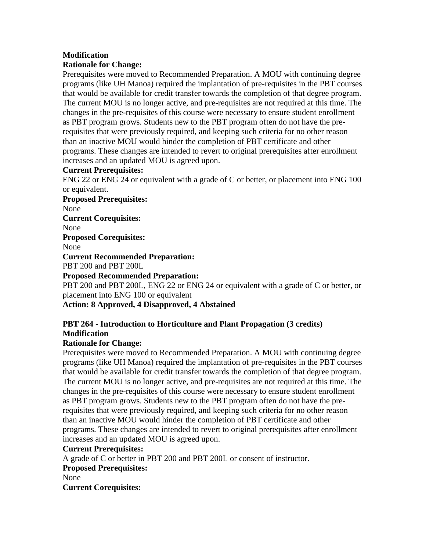# **Modification**

# **Rationale for Change:**

Prerequisites were moved to Recommended Preparation. A MOU with continuing degree programs (like UH Manoa) required the implantation of pre-requisites in the PBT courses that would be available for credit transfer towards the completion of that degree program. The current MOU is no longer active, and pre-requisites are not required at this time. The changes in the pre-requisites of this course were necessary to ensure student enrollment as PBT program grows. Students new to the PBT program often do not have the prerequisites that were previously required, and keeping such criteria for no other reason than an inactive MOU would hinder the completion of PBT certificate and other programs. These changes are intended to revert to original prerequisites after enrollment increases and an updated MOU is agreed upon.

## **Current Prerequisites:**

ENG 22 or ENG 24 or equivalent with a grade of C or better, or placement into ENG 100 or equivalent.

**Proposed Prerequisites:** None **Current Corequisites:** None **Proposed Corequisites:** None **Current Recommended Preparation:** PBT 200 and PBT 200L **Proposed Recommended Preparation:** PBT 200 and PBT 200L, ENG 22 or ENG 24 or equivalent with a grade of C or better, or placement into ENG 100 or equivalent

# **Action: 8 Approved, 4 Disapproved, 4 Abstained**

# **PBT 264 - Introduction to Horticulture and Plant Propagation (3 credits) Modification**

# **Rationale for Change:**

Prerequisites were moved to Recommended Preparation. A MOU with continuing degree programs (like UH Manoa) required the implantation of pre-requisites in the PBT courses that would be available for credit transfer towards the completion of that degree program. The current MOU is no longer active, and pre-requisites are not required at this time. The changes in the pre-requisites of this course were necessary to ensure student enrollment as PBT program grows. Students new to the PBT program often do not have the prerequisites that were previously required, and keeping such criteria for no other reason than an inactive MOU would hinder the completion of PBT certificate and other programs. These changes are intended to revert to original prerequisites after enrollment increases and an updated MOU is agreed upon.

# **Current Prerequisites:**

A grade of C or better in PBT 200 and PBT 200L or consent of instructor. **Proposed Prerequisites:** None **Current Corequisites:**